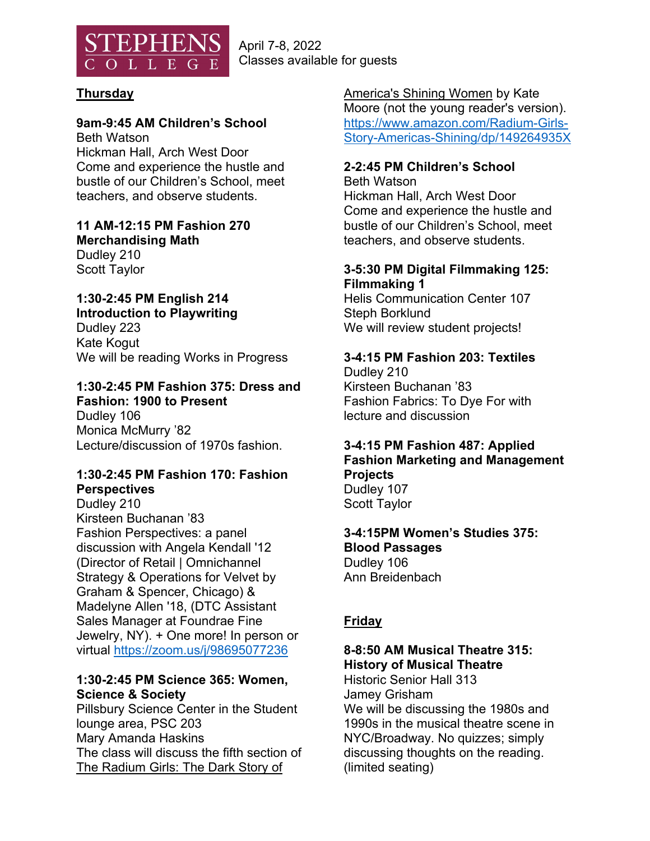

April 7-8, 2022 Classes available for guests

## **Thursday**

## **9am-9:45 AM Children's School**

Beth Watson Hickman Hall, Arch West Door Come and experience the hustle and bustle of our Children's School, meet teachers, and observe students.

**11 AM-12:15 PM Fashion 270 Merchandising Math**  Dudley 210 Scott Taylor

## **1:30-2:45 PM English 214**

**Introduction to Playwriting**  Dudley 223 Kate Kogut We will be reading Works in Progress

# **1:30-2:45 PM Fashion 375: Dress and**

**Fashion: 1900 to Present**  Dudley 106 Monica McMurry '82 Lecture/discussion of 1970s fashion.

#### **1:30-2:45 PM Fashion 170: Fashion Perspectives**

Dudley 210 Kirsteen Buchanan '83 Fashion Perspectives: a panel discussion with Angela Kendall '12 (Director of Retail | Omnichannel Strategy & Operations for Velvet by Graham & Spencer, Chicago) & Madelyne Allen '18, (DTC Assistant Sales Manager at Foundrae Fine Jewelry, NY). + One more! In person or virtual https://zoom.us/j/98695077236

#### **1:30-2:45 PM Science 365: Women, Science & Society**

Pillsbury Science Center in the Student lounge area, PSC 203 Mary Amanda Haskins The class will discuss the fifth section of The Radium Girls: The Dark Story of

America's Shining Women by Kate Moore (not the young reader's version). https://www.amazon.com/Radium-Girls-Story-Americas-Shining/dp/149264935X

## **2-2:45 PM Children's School**

Beth Watson Hickman Hall, Arch West Door Come and experience the hustle and bustle of our Children's School, meet teachers, and observe students.

#### **3-5:30 PM Digital Filmmaking 125: Filmmaking 1**

Helis Communication Center 107 Steph Borklund We will review student projects!

## **3-4:15 PM Fashion 203: Textiles**

Dudley 210 Kirsteen Buchanan '83 Fashion Fabrics: To Dye For with lecture and discussion

## **3-4:15 PM Fashion 487: Applied Fashion Marketing and Management Projects**  Dudley 107

Scott Taylor

## **3-4:15PM Women's Studies 375: Blood Passages**  Dudley 106

Ann Breidenbach

## **Friday**

## **8-8:50 AM Musical Theatre 315: History of Musical Theatre**

Historic Senior Hall 313 Jamey Grisham

We will be discussing the 1980s and 1990s in the musical theatre scene in NYC/Broadway. No quizzes; simply discussing thoughts on the reading. (limited seating)